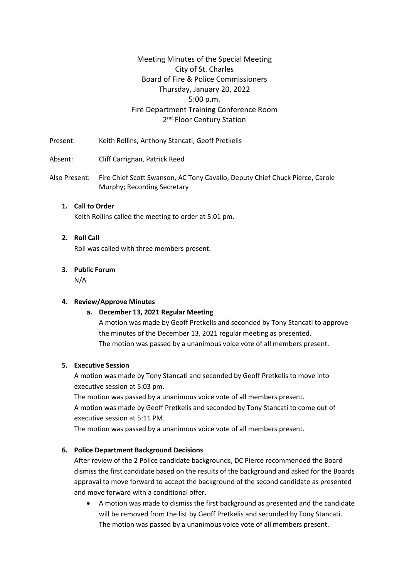## Meeting Minutes of the Special Meeting City of St. Charles Board of Fire & Police Commissioners Thursday, January 20, 2022 5:00 p.m. Fire Department Training Conference Room 2<sup>nd</sup> Floor Century Station

Present: Keith Rollins, Anthony Stancati, Geoff Pretkelis

Absent: Cliff Carrignan, Patrick Reed

Also Present: Fire Chief Scott Swanson, AC Tony Cavallo, Deputy Chief Chuck Pierce, Carole Murphy; Recording Secretary

## **1. Call to Order** Keith Rollins called the meeting to order at 5:01 pm.

#### **2. Roll Call**

Roll was called with three members present.

# **3. Public Forum**

N/A

#### **4. Review/Approve Minutes**

#### **a. December 13, 2021 Regular Meeting**

A motion was made by Geoff Pretkelis and seconded by Tony Stancati to approve the minutes of the December 13, 2021 regular meeting as presented. The motion was passed by a unanimous voice vote of all members present.

#### **5. Executive Session**

A motion was made by Tony Stancati and seconded by Geoff Pretkelis to move into executive session at 5:03 pm.

The motion was passed by a unanimous voice vote of all members present. A motion was made by Geoff Pretkelis and seconded by Tony Stancati to come out of executive session at 5:11 PM.

The motion was passed by a unanimous voice vote of all members present.

#### **6. Police Department Background Decisions**

After review of the 2 Police candidate backgrounds, DC Pierce recommended the Board dismiss the first candidate based on the results of the background and asked for the Boards approval to move forward to accept the background of the second candidate as presented and move forward with a conditional offer.

• A motion was made to dismiss the first background as presented and the candidate will be removed from the list by Geoff Pretkelis and seconded by Tony Stancati. The motion was passed by a unanimous voice vote of all members present.